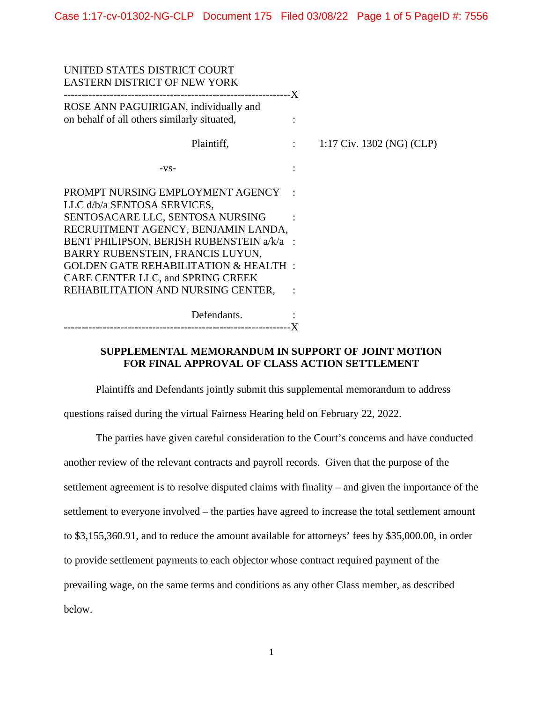| UNITED STATES DISTRICT COURT<br><b>EASTERN DISTRICT OF NEW YORK</b>                  |                           |
|--------------------------------------------------------------------------------------|---------------------------|
| ROSE ANN PAGUIRIGAN, individually and<br>on behalf of all others similarly situated, |                           |
| Plaintiff,<br><b>Contract Contract</b>                                               | 1:17 Civ. 1302 (NG) (CLP) |
| $-VS-$                                                                               |                           |
| PROMPT NURSING EMPLOYMENT AGENCY<br>LLC d/b/a SENTOSA SERVICES,                      |                           |
| SENTOSACARE LLC, SENTOSA NURSING<br>RECRUITMENT AGENCY, BENJAMIN LANDA,              |                           |
| BENT PHILIPSON, BERISH RUBENSTEIN a/k/a :<br>BARRY RUBENSTEIN, FRANCIS LUYUN,        |                           |
| <b>GOLDEN GATE REHABILITATION &amp; HEALTH:</b><br>CARE CENTER LLC, and SPRING CREEK |                           |
| REHABILITATION AND NURSING CENTER,                                                   |                           |
| Defendants.                                                                          |                           |

--------------------------------------------------------------- -X

## **SUPPLEMENTAL MEMORANDUM IN SUPPORT OF JOINT MOTION FOR FINAL APPROVAL OF CLASS ACTION SETTLEMENT**

Plaintiffs and Defendants jointly submit this supplemental memorandum to address questions raised during the virtual Fairness Hearing held on February 22, 2022.

The parties have given careful consideration to the Court's concerns and have conducted another review of the relevant contracts and payroll records. Given that the purpose of the settlement agreement is to resolve disputed claims with finality – and given the importance of the settlement to everyone involved – the parties have agreed to increase the total settlement amount to \$3,155,360.91, and to reduce the amount available for attorneys' fees by \$35,000.00, in order to provide settlement payments to each objector whose contract required payment of the prevailing wage, on the same terms and conditions as any other Class member, as described below.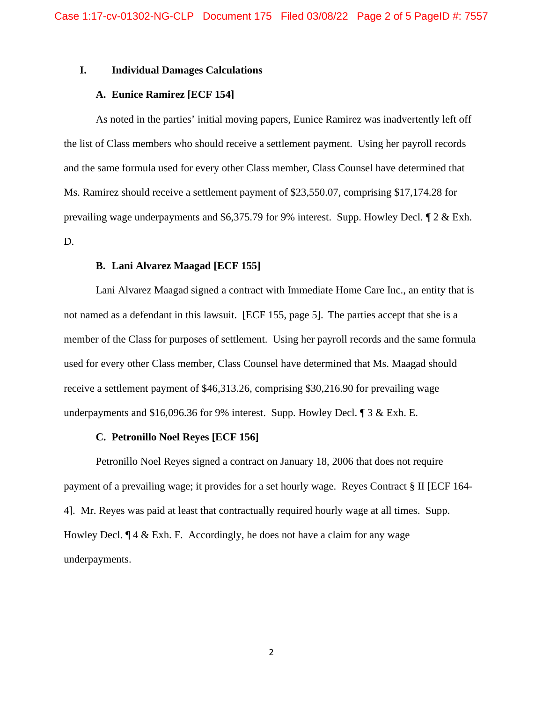## **I. Individual Damages Calculations**

## **A. Eunice Ramirez [ECF 154]**

As noted in the parties' initial moving papers, Eunice Ramirez was inadvertently left off the list of Class members who should receive a settlement payment. Using her payroll records and the same formula used for every other Class member, Class Counsel have determined that Ms. Ramirez should receive a settlement payment of \$23,550.07, comprising \$17,174.28 for prevailing wage underpayments and \$6,375.79 for 9% interest. Supp. Howley Decl. ¶ 2 & Exh. D.

### **B. Lani Alvarez Maagad [ECF 155]**

Lani Alvarez Maagad signed a contract with Immediate Home Care Inc., an entity that is not named as a defendant in this lawsuit. [ECF 155, page 5]. The parties accept that she is a member of the Class for purposes of settlement. Using her payroll records and the same formula used for every other Class member, Class Counsel have determined that Ms. Maagad should receive a settlement payment of \$46,313.26, comprising \$30,216.90 for prevailing wage underpayments and \$16,096.36 for 9% interest. Supp. Howley Decl. ¶ 3 & Exh. E.

## **C. Petronillo Noel Reyes [ECF 156]**

Petronillo Noel Reyes signed a contract on January 18, 2006 that does not require payment of a prevailing wage; it provides for a set hourly wage. Reyes Contract § II [ECF 164- 4]. Mr. Reyes was paid at least that contractually required hourly wage at all times. Supp. Howley Decl.  $\P$  4 & Exh. F. Accordingly, he does not have a claim for any wage underpayments.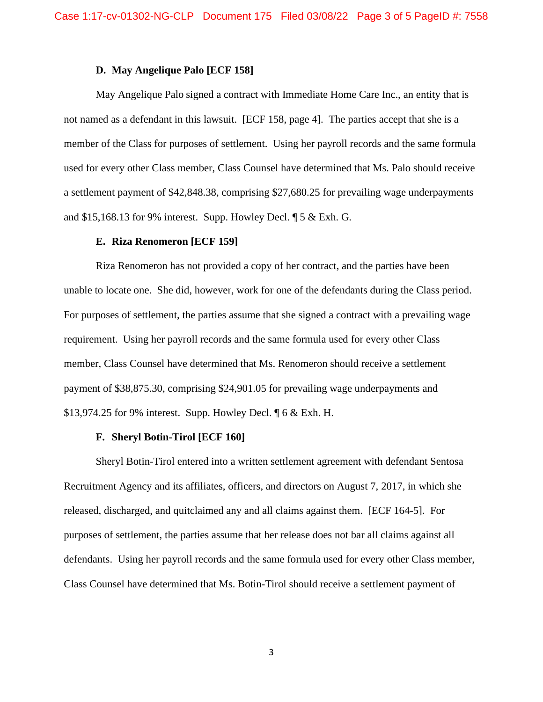### **D. May Angelique Palo [ECF 158]**

May Angelique Palo signed a contract with Immediate Home Care Inc., an entity that is not named as a defendant in this lawsuit. [ECF 158, page 4]. The parties accept that she is a member of the Class for purposes of settlement. Using her payroll records and the same formula used for every other Class member, Class Counsel have determined that Ms. Palo should receive a settlement payment of \$42,848.38, comprising \$27,680.25 for prevailing wage underpayments and \$15,168.13 for 9% interest. Supp. Howley Decl. ¶ 5 & Exh. G.

#### **E. Riza Renomeron [ECF 159]**

Riza Renomeron has not provided a copy of her contract, and the parties have been unable to locate one. She did, however, work for one of the defendants during the Class period. For purposes of settlement, the parties assume that she signed a contract with a prevailing wage requirement. Using her payroll records and the same formula used for every other Class member, Class Counsel have determined that Ms. Renomeron should receive a settlement payment of \$38,875.30, comprising \$24,901.05 for prevailing wage underpayments and \$13,974.25 for 9% interest. Supp. Howley Decl. ¶ 6 & Exh. H.

## **F. Sheryl Botin-Tirol [ECF 160]**

Sheryl Botin-Tirol entered into a written settlement agreement with defendant Sentosa Recruitment Agency and its affiliates, officers, and directors on August 7, 2017, in which she released, discharged, and quitclaimed any and all claims against them. [ECF 164-5]. For purposes of settlement, the parties assume that her release does not bar all claims against all defendants. Using her payroll records and the same formula used for every other Class member, Class Counsel have determined that Ms. Botin-Tirol should receive a settlement payment of

3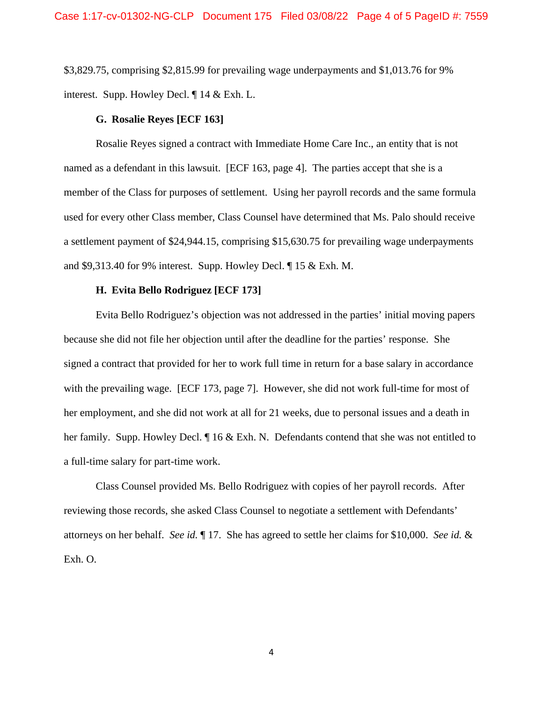\$3,829.75, comprising \$2,815.99 for prevailing wage underpayments and \$1,013.76 for 9% interest. Supp. Howley Decl. ¶ 14 & Exh. L.

## **G. Rosalie Reyes [ECF 163]**

Rosalie Reyes signed a contract with Immediate Home Care Inc., an entity that is not named as a defendant in this lawsuit. [ECF 163, page 4]. The parties accept that she is a member of the Class for purposes of settlement. Using her payroll records and the same formula used for every other Class member, Class Counsel have determined that Ms. Palo should receive a settlement payment of \$24,944.15, comprising \$15,630.75 for prevailing wage underpayments and \$9,313.40 for 9% interest. Supp. Howley Decl. ¶ 15 & Exh. M.

## **H. Evita Bello Rodriguez [ECF 173]**

Evita Bello Rodriguez's objection was not addressed in the parties' initial moving papers because she did not file her objection until after the deadline for the parties' response. She signed a contract that provided for her to work full time in return for a base salary in accordance with the prevailing wage. [ECF 173, page 7]. However, she did not work full-time for most of her employment, and she did not work at all for 21 weeks, due to personal issues and a death in her family. Supp. Howley Decl.  $\P$  16 & Exh. N. Defendants contend that she was not entitled to a full-time salary for part-time work.

Class Counsel provided Ms. Bello Rodriguez with copies of her payroll records. After reviewing those records, she asked Class Counsel to negotiate a settlement with Defendants' attorneys on her behalf. *See id.* ¶ 17. She has agreed to settle her claims for \$10,000. *See id.* & Exh. O.